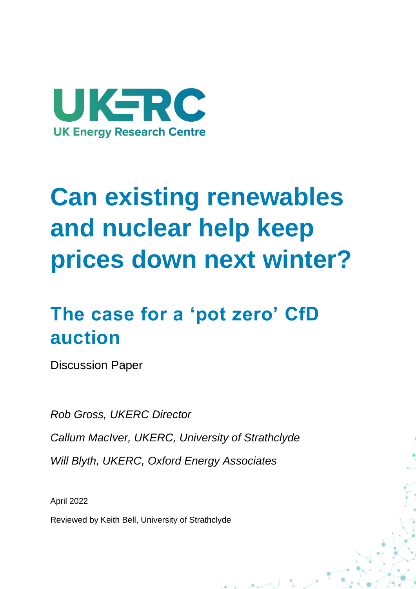

# **Can existing renewables and nuclear help keep prices down next winter?**

## **The case for a 'pot zero' CfD auction**

Discussion Paper

*Rob Gross, UKERC Director Callum MacIver, UKERC, University of Strathclyde Will Blyth, UKERC, Oxford Energy Associates*

April 2022

Reviewed by Keith Bell, University of Strathclyde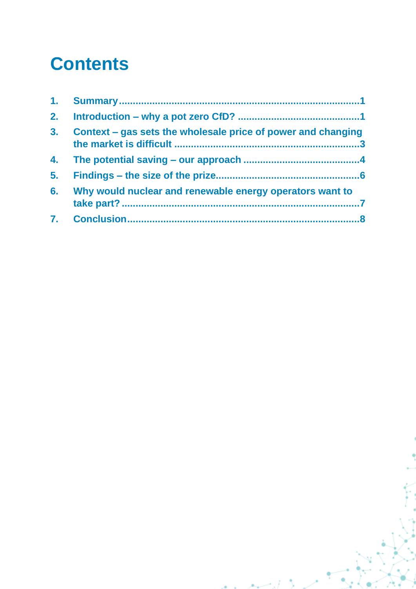### **Contents**

| 3. | Context – gas sets the wholesale price of power and changing |
|----|--------------------------------------------------------------|
| 4. |                                                              |
| 5. |                                                              |
| 6. | Why would nuclear and renewable energy operators want to     |
|    |                                                              |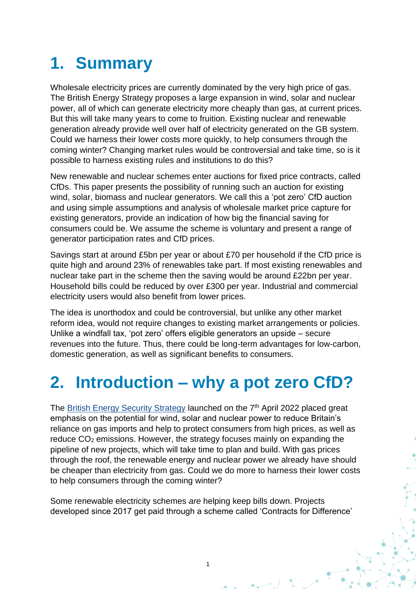#### <span id="page-2-0"></span>**1. Summary**

Wholesale electricity prices are currently dominated by the very high price of gas. The British Energy Strategy proposes a large expansion in wind, solar and nuclear power, all of which can generate electricity more cheaply than gas, at current prices. But this will take many years to come to fruition. Existing nuclear and renewable generation already provide well over half of electricity generated on the GB system. Could we harness their lower costs more quickly, to help consumers through the coming winter? Changing market rules would be controversial and take time, so is it possible to harness existing rules and institutions to do this?

New renewable and nuclear schemes enter auctions for fixed price contracts, called CfDs. This paper presents the possibility of running such an auction for existing wind, solar, biomass and nuclear generators. We call this a 'pot zero' CfD auction and using simple assumptions and analysis of wholesale market price capture for existing generators, provide an indication of how big the financial saving for consumers could be. We assume the scheme is voluntary and present a range of generator participation rates and CfD prices.

Savings start at around £5bn per year or about £70 per household if the CfD price is quite high and around 23% of renewables take part. If most existing renewables and nuclear take part in the scheme then the saving would be around £22bn per year. Household bills could be reduced by over £300 per year. Industrial and commercial electricity users would also benefit from lower prices.

The idea is unorthodox and could be controversial, but unlike any other market reform idea, would not require changes to existing market arrangements or policies. Unlike a windfall tax, 'pot zero' offers eligible generators an upside – secure revenues into the future. Thus, there could be long-term advantages for low-carbon, domestic generation, as well as significant benefits to consumers.

#### <span id="page-2-1"></span>**2. Introduction – why a pot zero CfD?**

The [British Energy Security Strategy](https://www.gov.uk/government/publications/british-energy-security-strategy/british-energy-security-strategy) launched on the 7<sup>th</sup> April 2022 placed great emphasis on the potential for wind, solar and nuclear power to reduce Britain's reliance on gas imports and help to protect consumers from high prices, as well as reduce CO<sup>2</sup> emissions. However, the strategy focuses mainly on expanding the pipeline of new projects, which will take time to plan and build. With gas prices through the roof, the renewable energy and nuclear power we already have should be cheaper than electricity from gas. Could we do more to harness their lower costs to help consumers through the coming winter?

Some renewable electricity schemes *are* helping keep bills down. Projects developed since 2017 get paid through a scheme called 'Contracts for Difference'

1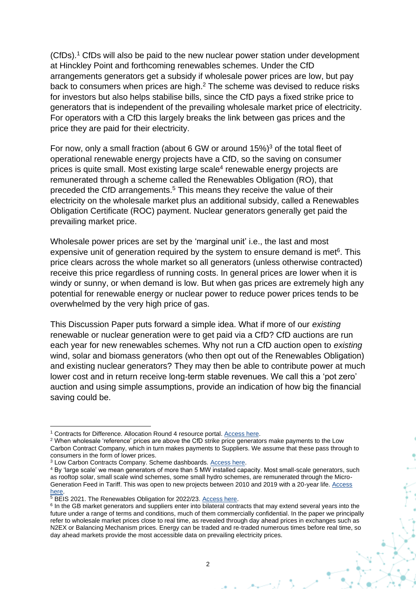(CfDs). <sup>1</sup> CfDs will also be paid to the new nuclear power station under development at Hinckley Point and forthcoming renewables schemes. Under the CfD arrangements generators get a subsidy if wholesale power prices are low, but pay back to consumers when prices are high.<sup>2</sup> The scheme was devised to reduce risks for investors but also helps stabilise bills, since the CfD pays a fixed strike price to generators that is independent of the prevailing wholesale market price of electricity. For operators with a CfD this largely breaks the link between gas prices and the price they are paid for their electricity.

<span id="page-3-0"></span>For now, only a small fraction (about 6 GW or around 15%) <sup>3</sup> of the total fleet of operational renewable energy projects have a CfD, so the saving on consumer prices is quite small. Most existing large scale<sup>4</sup> renewable energy projects are remunerated through a scheme called the Renewables Obligation (RO), that preceded the CfD arrangements.<sup>5</sup> This means they receive the value of their electricity on the wholesale market plus an additional subsidy, called a Renewables Obligation Certificate (ROC) payment. Nuclear generators generally get paid the prevailing market price.

Wholesale power prices are set by the 'marginal unit' i.e., the last and most expensive unit of generation required by the system to ensure demand is met $6$ . This price clears across the whole market so all generators (unless otherwise contracted) receive this price regardless of running costs. In general prices are lower when it is windy or sunny, or when demand is low. But when gas prices are extremely high any potential for renewable energy or nuclear power to reduce power prices tends to be overwhelmed by the very high price of gas.

This Discussion Paper puts forward a simple idea. What if more of our *existing* renewable or nuclear generation were to get paid via a CfD? CfD auctions are run each year for new renewables schemes. Why not run a CfD auction open to *existing*  wind, solar and biomass generators (who then opt out of the Renewables Obligation) and existing nuclear generators? They may then be able to contribute power at much lower cost and in return receive long-term stable revenues. We call this a 'pot zero' auction and using simple assumptions, provide an indication of how big the financial saving could be.

<sup>&</sup>lt;sup>1</sup> Contracts for Difference. Allocation Round 4 resource portal. [Access here.](https://www.cfdallocationround.uk/)

<sup>&</sup>lt;sup>2</sup> When wholesale 'reference' prices are above the CfD strike price generators make payments to the Low Carbon Contract Company, which in turn makes payments to Suppliers. We assume that these pass through to consumers in the form of lower prices.

<sup>3</sup> Low Carbon Contracts Company. Scheme dashboards. [Access here.](https://www.lowcarboncontracts.uk/dashboards)

<sup>4</sup> By 'large scale' we mean generators of more than 5 MW installed capacity. Most small-scale generators, such as rooftop solar, small scale wind schemes, some small hydro schemes, are remunerated through the Micro-Generation Feed in Tariff. This was open to new projects between 2010 and 2019 with a 20-year life. Access [here.](https://assets.publishing.service.gov.uk/government/uploads/system/uploads/attachment_data/file/1021505/calculating-level-renewables-obligation-2022-23.pdf)

<sup>&</sup>lt;sup>5</sup> BEIS 2021. The Renewables Obligation for 2022/23. [Access here.](https://assets.publishing.service.gov.uk/government/uploads/system/uploads/attachment_data/file/1021505/calculating-level-renewables-obligation-2022-23.pdf)

<sup>&</sup>lt;sup>6</sup> In the GB market generators and suppliers enter into bilateral contracts that may extend several years into the future under a range of terms and conditions, much of them commercially confidential. In the paper we principally refer to wholesale market prices close to real time, as revealed through day ahead prices in exchanges such as N2EX or Balancing Mechanism prices. Energy can be traded and re-traded numerous times before real time, so day ahead markets provide the most accessible data on prevailing electricity prices.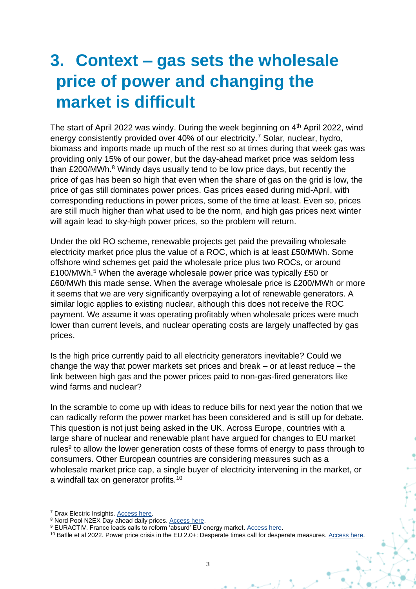#### <span id="page-4-0"></span>**3. Context – gas sets the wholesale price of power and changing the market is difficult**

<span id="page-4-2"></span>The start of April 2022 was windy. During the week beginning on 4<sup>th</sup> April 2022, wind energy consistently provided over 40% of our electricity.<sup>7</sup> Solar, nuclear, hydro, biomass and imports made up much of the rest so at times during that week gas was providing only 15% of our power, but the day-ahead market price was seldom less than  $£200/MWh.<sup>8</sup>$  Windy days usually tend to be low price days, but recently the price of gas has been so high that even when the share of gas on the grid is low, the price of gas still dominates power prices. Gas prices eased during mid-April, with corresponding reductions in power prices, some of the time at least. Even so, prices are still much higher than what used to be the norm, and high gas prices next winter will again lead to sky-high power prices, so the problem will return.

Under the old RO scheme, renewable projects get paid the prevailing wholesale electricity market price plus the value of a ROC, which is at least £50/MWh. Some offshore wind schemes get paid the wholesale price plus two ROCs, or around £100/MWh.[5](#page-3-0) When the average wholesale power price was typically £50 or £60/MWh this made sense. When the average wholesale price is £200/MWh or more it seems that we are very significantly overpaying a lot of renewable generators. A similar logic applies to existing nuclear, although this does not receive the ROC payment. We assume it was operating profitably when wholesale prices were much lower than current levels, and nuclear operating costs are largely unaffected by gas prices.

Is the high price currently paid to all electricity generators inevitable? Could we change the way that power markets set prices and break – or at least reduce – the link between high gas and the power prices paid to non-gas-fired generators like wind farms and nuclear?

In the scramble to come up with ideas to reduce bills for next year the notion that we can radically reform the power market has been considered and is still up for debate. This question is not just being asked in the UK. Across Europe, countries with a large share of nuclear and renewable plant have argued for changes to EU market rules<sup>9</sup> to allow the lower generation costs of these forms of energy to pass through to consumers. Other European countries are considering measures such as a wholesale market price cap, a single buyer of electricity intervening in the market, or a windfall tax on generator profits.<sup>10</sup>

<span id="page-4-1"></span><sup>7</sup> Drax Electric Insights. [Access here.](https://electricinsights.co.uk/#/homepage?&_k=z5kp02)

<sup>8</sup> Nord Pool N2EX Day ahead daily prices[. Access here.](https://www.nordpoolgroup.com/en/Market-data1/#/nordic/table)

<sup>9</sup> EURACTIV. France leads calls to reform 'absurd' EU energy market[. Access here.](https://www.euractiv.com/section/energy/news/france-leads-the-way-in-reforming-absurd-energy-market/)

<sup>&</sup>lt;sup>10</sup> Batlle et al 2022. Power price crisis in the EU 2.0+: Desperate times call for desperate measures. [Access here.](https://energy.mit.edu/publication/power-price-crisis-in-the-eu-2-0-desperate-times-call-for-desperate-measures/)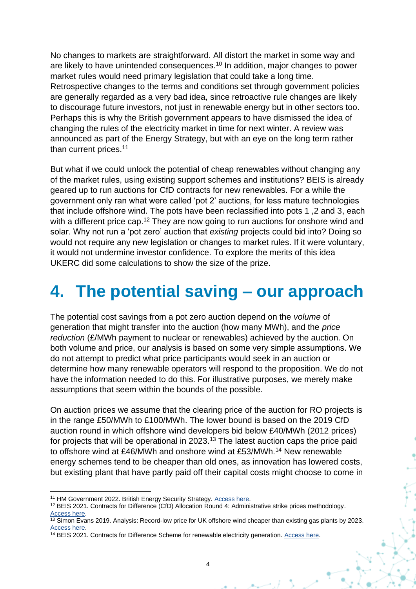No changes to markets are straightforward. All distort the market in some way and are likely to have unintended consequences.<sup>[10](#page-4-1)</sup> In addition, major changes to power market rules would need primary legislation that could take a long time. Retrospective changes to the terms and conditions set through government policies are generally regarded as a very bad idea, since retroactive rule changes are likely to discourage future investors, not just in renewable energy but in other sectors too. Perhaps this is why the British government appears to have dismissed the idea of changing the rules of the electricity market in time for next winter. A review was announced as part of the Energy Strategy, but with an eye on the long term rather than current prices.<sup>11</sup>

But what if we could unlock the potential of cheap renewables without changing any of the market rules, using existing support schemes and institutions? BEIS is already geared up to run auctions for CfD contracts for new renewables. For a while the government only ran what were called 'pot 2' auctions, for less mature technologies that include offshore wind. The pots have been reclassified into pots 1 ,2 and 3, each with a different price cap.<sup>12</sup> They are now going to run auctions for onshore wind and solar. Why not run a 'pot zero' auction that *existing* projects could bid into? Doing so would not require any new legislation or changes to market rules. If it were voluntary, it would not undermine investor confidence. To explore the merits of this idea UKERC did some calculations to show the size of the prize.

#### <span id="page-5-0"></span>**4. The potential saving – our approach**

The potential cost savings from a pot zero auction depend on the *volume* of generation that might transfer into the auction (how many MWh), and the *price reduction* (£/MWh payment to nuclear or renewables) achieved by the auction. On both volume and price, our analysis is based on some very simple assumptions. We do not attempt to predict what price participants would seek in an auction or determine how many renewable operators will respond to the proposition. We do not have the information needed to do this. For illustrative purposes, we merely make assumptions that seem within the bounds of the possible.

On auction prices we assume that the clearing price of the auction for RO projects is in the range £50/MWh to £100/MWh. The lower bound is based on the 2019 CfD auction round in which offshore wind developers bid below £40/MWh (2012 prices) for projects that will be operational in 2023.<sup>13</sup> The latest auction caps the price paid to offshore wind at £46/MWh and onshore wind at £53/MWh.<sup>14</sup> New renewable energy schemes tend to be cheaper than old ones, as innovation has lowered costs, but existing plant that have partly paid off their capital costs might choose to come in

<sup>&</sup>lt;sup>11</sup> HM Government 2022. British Energy Security Strategy. Access here.

<sup>12</sup> BEIS 2021. Contracts for Difference (CfD) Allocation Round 4: Administrative strike prices methodology. [Access here.](https://www.gov.uk/government/publications/contracts-for-difference-cfd-allocation-round-4-administrative-strike-prices-methodology)

 $\frac{13}{13}$  Simon Evans 2019. Analysis: Record-low price for UK offshore wind cheaper than existing gas plants by 2023. [Access here.](https://www.carbonbrief.org/analysis-record-low-uk-offshore-wind-cheaper-than-existing-gas-plants-by-2023)

<sup>&</sup>lt;sup>14</sup> BEIS 2021. Contracts for Difference Scheme for renewable electricity generation. [Access here.](https://assets.publishing.service.gov.uk/government/uploads/system/uploads/attachment_data/file/1035899/cfd-allocation-round-4-allocation-framework.pdf)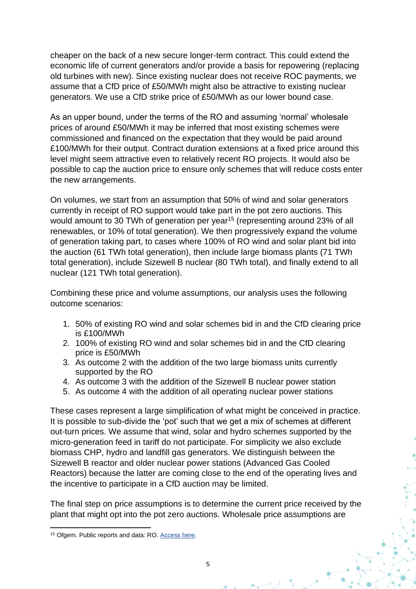cheaper on the back of a new secure longer-term contract. This could extend the economic life of current generators and/or provide a basis for repowering (replacing old turbines with new). Since existing nuclear does not receive ROC payments, we assume that a CfD price of £50/MWh might also be attractive to existing nuclear generators. We use a CfD strike price of £50/MWh as our lower bound case.

As an upper bound, under the terms of the RO and assuming 'normal' wholesale prices of around £50/MWh it may be inferred that most existing schemes were commissioned and financed on the expectation that they would be paid around £100/MWh for their output. Contract duration extensions at a fixed price around this level might seem attractive even to relatively recent RO projects. It would also be possible to cap the auction price to ensure only schemes that will reduce costs enter the new arrangements.

On volumes, we start from an assumption that 50% of wind and solar generators currently in receipt of RO support would take part in the pot zero auctions. This would amount to 30 TWh of generation per year<sup>15</sup> (representing around 23% of all renewables, or 10% of total generation). We then progressively expand the volume of generation taking part, to cases where 100% of RO wind and solar plant bid into the auction (61 TWh total generation), then include large biomass plants (71 TWh total generation), include Sizewell B nuclear (80 TWh total), and finally extend to all nuclear (121 TWh total generation).

Combining these price and volume assumptions, our analysis uses the following outcome scenarios:

- 1. 50% of existing RO wind and solar schemes bid in and the CfD clearing price is £100/MWh
- 2. 100% of existing RO wind and solar schemes bid in and the CfD clearing price is £50/MWh
- 3. As outcome 2 with the addition of the two large biomass units currently supported by the RO
- 4. As outcome 3 with the addition of the Sizewell B nuclear power station
- 5. As outcome 4 with the addition of all operating nuclear power stations

These cases represent a large simplification of what might be conceived in practice. It is possible to sub-divide the 'pot' such that we get a mix of schemes at different out-turn prices. We assume that wind, solar and hydro schemes supported by the micro-generation feed in tariff do not participate. For simplicity we also exclude biomass CHP, hydro and landfill gas generators. We distinguish between the Sizewell B reactor and older nuclear power stations (Advanced Gas Cooled Reactors) because the latter are coming close to the end of the operating lives and the incentive to participate in a CfD auction may be limited.

The final step on price assumptions is to determine the current price received by the plant that might opt into the pot zero auctions. Wholesale price assumptions are

<sup>&</sup>lt;sup>15</sup> Ofgem. Public reports and data: RO. **Access here.**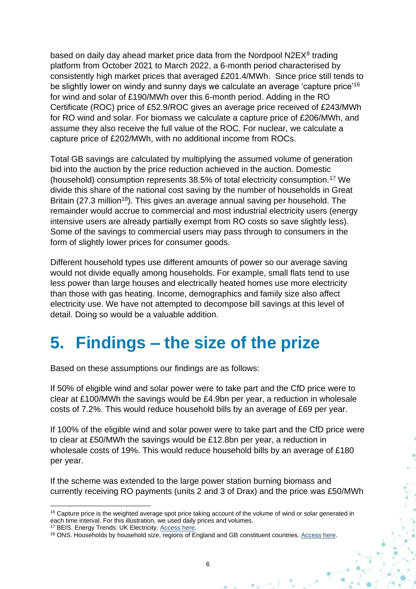based on daily day ahead market price data from the Nordpool N2EX<sup>[8](#page-4-2)</sup> trading platform from October 2021 to March 2022, a 6-month period characterised by consistently high market prices that averaged £201.4/MWh. Since price still tends to be slightly lower on windy and sunny days we calculate an average 'capture price'<sup>16</sup> for wind and solar of £190/MWh over this 6-month period. Adding in the RO Certificate (ROC) price of £52.9/ROC gives an average price received of £243/MWh for RO wind and solar. For biomass we calculate a capture price of £206/MWh, and assume they also receive the full value of the ROC. For nuclear, we calculate a capture price of £202/MWh, with no additional income from ROCs.

Total GB savings are calculated by multiplying the assumed volume of generation bid into the auction by the price reduction achieved in the auction. Domestic (household) consumption represents 38.5% of total electricity consumption.<sup>17</sup> We divide this share of the national cost saving by the number of households in Great Britain (27.3 million<sup>18</sup>). This gives an average annual saving per household. The remainder would accrue to commercial and most industrial electricity users (energy intensive users are already partially exempt from RO costs so save slightly less). Some of the savings to commercial users may pass through to consumers in the form of slightly lower prices for consumer goods.

Different household types use different amounts of power so our average saving would not divide equally among households. For example, small flats tend to use less power than large houses and electrically heated homes use more electricity than those with gas heating. Income, demographics and family size also affect electricity use. We have not attempted to decompose bill savings at this level of detail. Doing so would be a valuable addition.

#### <span id="page-7-0"></span>**5. Findings – the size of the prize**

Based on these assumptions our findings are as follows:

If 50% of eligible wind and solar power were to take part and the CfD price were to clear at £100/MWh the savings would be £4.9bn per year, a reduction in wholesale costs of 7.2%. This would reduce household bills by an average of £69 per year.

If 100% of the eligible wind and solar power were to take part and the CfD price were to clear at £50/MWh the savings would be £12.8bn per year, a reduction in wholesale costs of 19%. This would reduce household bills by an average of £180 per year.

If the scheme was extended to the large power station burning biomass and currently receiving RO payments (units 2 and 3 of Drax) and the price was £50/MWh

<sup>&</sup>lt;sup>16</sup> Capture price is the weighted average spot price taking account of the volume of wind or solar generated in each time interval. For this illustration, we used daily prices and volumes.

<sup>17</sup> BEIS. Energy Trends: UK Electricity. [Access here.](https://www.gov.uk/government/statistics/electricity-section-5-energy-trends)

<sup>18</sup> ONS. Households by household size, regions of England and GB constituent countries. [Access here.](https://www.ons.gov.uk/peoplepopulationandcommunity/birthsdeathsandmarriages/families/datasets/householdsbyhouseholdsizeregionsofenglandandukconstituentcountries)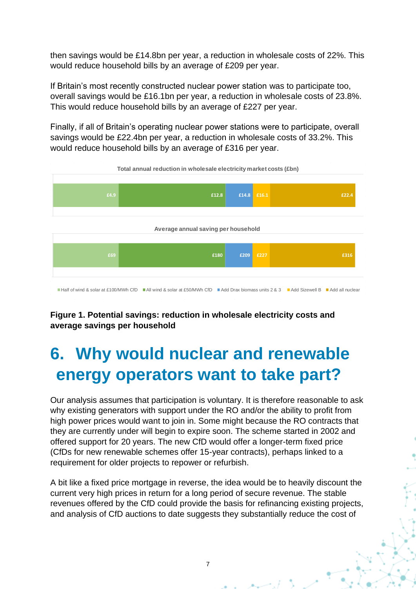then savings would be £14.8bn per year, a reduction in wholesale costs of 22%. This would reduce household bills by an average of £209 per year.

If Britain's most recently constructed nuclear power station was to participate too, overall savings would be £16.1bn per year, a reduction in wholesale costs of 23.8%. This would reduce household bills by an average of £227 per year.

Finally, if all of Britain's operating nuclear power stations were to participate, overall savings would be £22.4bn per year, a reduction in wholesale costs of 33.2%. This would reduce household bills by an average of £316 per year.



#### **Figure 1. Potential savings: reduction in wholesale electricity costs and average savings per household**

#### <span id="page-8-0"></span>**6. Why would nuclear and renewable energy operators want to take part?**

Our analysis assumes that participation is voluntary. It is therefore reasonable to ask why existing generators with support under the RO and/or the ability to profit from high power prices would want to join in. Some might because the RO contracts that they are currently under will begin to expire soon. The scheme started in 2002 and offered support for 20 years. The new CfD would offer a longer-term fixed price (CfDs for new renewable schemes offer 15-year contracts), perhaps linked to a requirement for older projects to repower or refurbish.

A bit like a fixed price mortgage in reverse, the idea would be to heavily discount the current very high prices in return for a long period of secure revenue. The stable revenues offered by the CfD could provide the basis for refinancing existing projects, and analysis of CfD auctions to date suggests they substantially reduce the cost of

7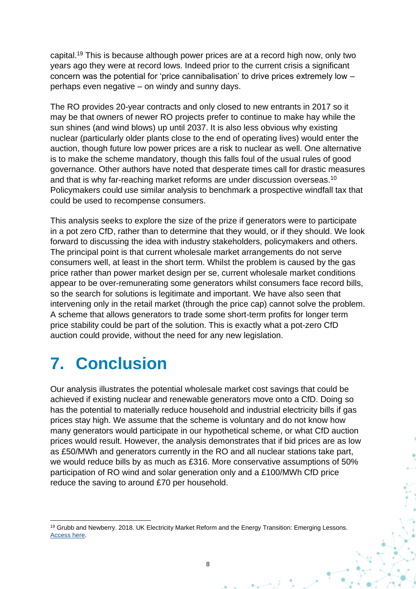capital.<sup>19</sup> This is because although power prices are at a record high now, only two years ago they were at record lows. Indeed prior to the current crisis a significant concern was the potential for 'price cannibalisation' to drive prices extremely low – perhaps even negative – on windy and sunny days.

The RO provides 20-year contracts and only closed to new entrants in 2017 so it may be that owners of newer RO projects prefer to continue to make hay while the sun shines (and wind blows) up until 2037. It is also less obvious why existing nuclear (particularly older plants close to the end of operating lives) would enter the auction, though future low power prices are a risk to nuclear as well. One alternative is to make the scheme mandatory, though this falls foul of the usual rules of good governance. Other authors have noted that desperate times call for drastic measures and that is why far-reaching market reforms are under discussion overseas.<sup>[10](#page-4-1)</sup> Policymakers could use similar analysis to benchmark a prospective windfall tax that could be used to recompense consumers.

This analysis seeks to explore the size of the prize if generators were to participate in a pot zero CfD, rather than to determine that they would, or if they should. We look forward to discussing the idea with industry stakeholders, policymakers and others. The principal point is that current wholesale market arrangements do not serve consumers well, at least in the short term. Whilst the problem is caused by the gas price rather than power market design per se, current wholesale market conditions appear to be over-remunerating some generators whilst consumers face record bills, so the search for solutions is legitimate and important. We have also seen that intervening only in the retail market (through the price cap) cannot solve the problem. A scheme that allows generators to trade some short-term profits for longer term price stability could be part of the solution. This is exactly what a pot-zero CfD auction could provide, without the need for any new legislation.

#### <span id="page-9-0"></span>**7. Conclusion**

Our analysis illustrates the potential wholesale market cost savings that could be achieved if existing nuclear and renewable generators move onto a CfD. Doing so has the potential to materially reduce household and industrial electricity bills if gas prices stay high. We assume that the scheme is voluntary and do not know how many generators would participate in our hypothetical scheme, or what CfD auction prices would result. However, the analysis demonstrates that if bid prices are as low as £50/MWh and generators currently in the RO and all nuclear stations take part, we would reduce bills by as much as £316. More conservative assumptions of 50% participation of RO wind and solar generation only and a £100/MWh CfD price reduce the saving to around £70 per household.

<sup>&</sup>lt;sup>19</sup> Grubb and Newberry. 2018. UK Electricity Market Reform and the Energy Transition: Emerging Lessons. [Access here.](https://www.eprg.group.cam.ac.uk/wp-content/uploads/2018/06/1817-Text.pdf)